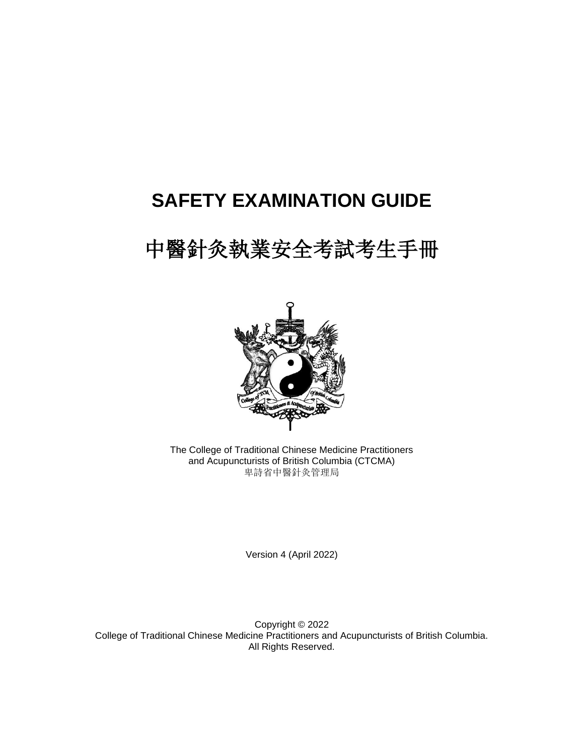## **SAFETY EXAMINATION GUIDE**

# 中醫針灸執業安全考試考生手冊



The College of Traditional Chinese Medicine Practitioners and Acupuncturists of British Columbia (CTCMA) 卑詩省中醫針灸管理局

Version 4 (April 2022)

Copyright © 2022 College of Traditional Chinese Medicine Practitioners and Acupuncturists of British Columbia. All Rights Reserved.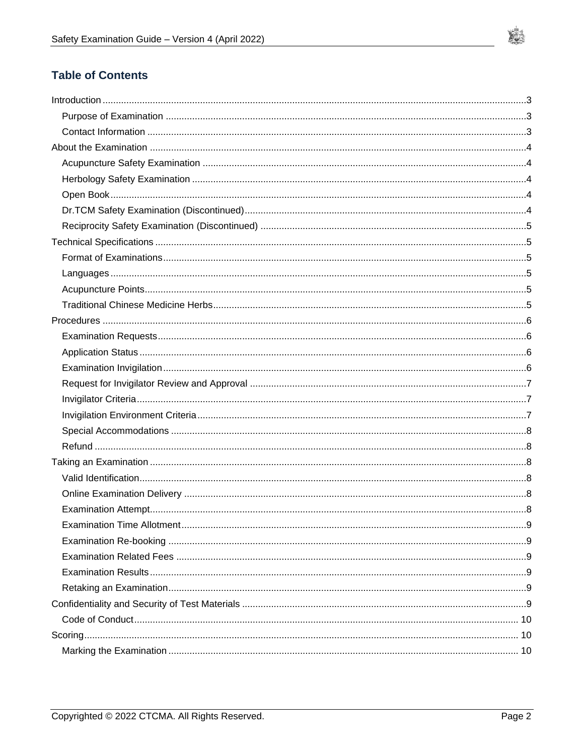

## **Table of Contents**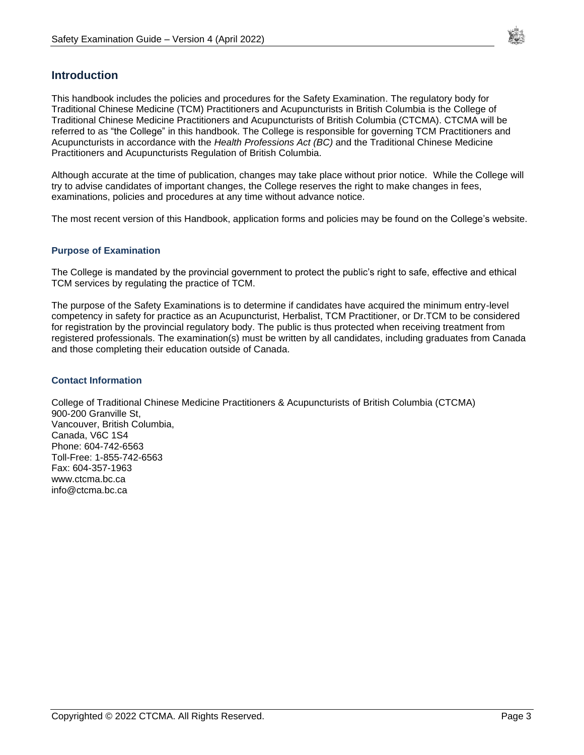

## <span id="page-2-0"></span>**Introduction**

This handbook includes the policies and procedures for the Safety Examination. The regulatory body for Traditional Chinese Medicine (TCM) Practitioners and Acupuncturists in British Columbia is the College of Traditional Chinese Medicine Practitioners and Acupuncturists of British Columbia (CTCMA). CTCMA will be referred to as "the College" in this handbook. The College is responsible for governing TCM Practitioners and Acupuncturists in accordance with the *Health Professions Act (BC)* and the Traditional Chinese Medicine Practitioners and Acupuncturists Regulation of British Columbia.

Although accurate at the time of publication, changes may take place without prior notice. While the College will try to advise candidates of important changes, the College reserves the right to make changes in fees, examinations, policies and procedures at any time without advance notice.

The most recent version of this Handbook, application forms and policies may be found on the College's website.

#### <span id="page-2-1"></span>**Purpose of Examination**

The College is mandated by the provincial government to protect the public's right to safe, effective and ethical TCM services by regulating the practice of TCM.

The purpose of the Safety Examinations is to determine if candidates have acquired the minimum entry-level competency in safety for practice as an Acupuncturist, Herbalist, TCM Practitioner, or Dr.TCM to be considered for registration by the provincial regulatory body. The public is thus protected when receiving treatment from registered professionals. The examination(s) must be written by all candidates, including graduates from Canada and those completing their education outside of Canada.

#### <span id="page-2-2"></span>**Contact Information**

College of Traditional Chinese Medicine Practitioners & Acupuncturists of British Columbia (CTCMA) 900-200 Granville St, Vancouver, British Columbia, Canada, V6C 1S4 Phone: 604-742-6563 Toll-Free: 1-855-742-6563 Fax: 604-357-1963 www.ctcma.bc.ca info@ctcma.bc.ca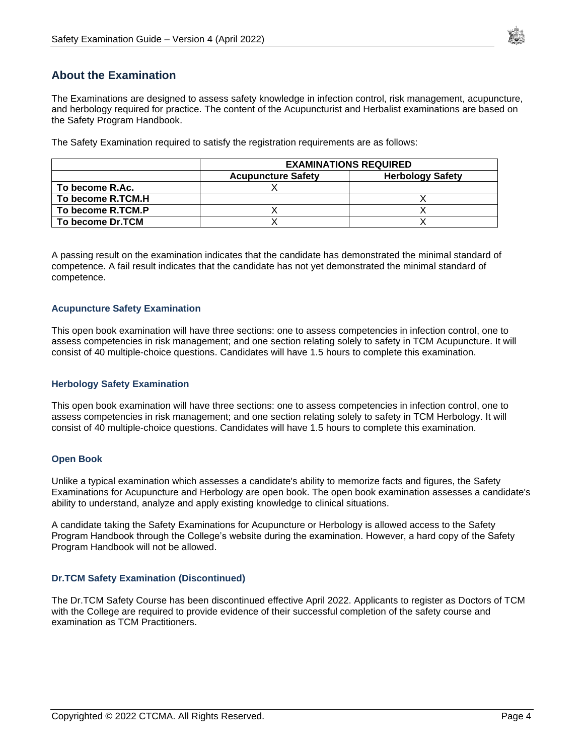

## <span id="page-3-0"></span>**About the Examination**

The Examinations are designed to assess safety knowledge in infection control, risk management, acupuncture, and herbology required for practice. The content of the Acupuncturist and Herbalist examinations are based on the Safety Program Handbook.

The Safety Examination required to satisfy the registration requirements are as follows:

|                   | <b>EXAMINATIONS REQUIRED</b> |                         |
|-------------------|------------------------------|-------------------------|
|                   | <b>Acupuncture Safety</b>    | <b>Herbology Safety</b> |
| To become R.Ac.   |                              |                         |
| To become R.TCM.H |                              |                         |
| To become R.TCM.P |                              |                         |
| To become Dr.TCM  |                              |                         |

A passing result on the examination indicates that the candidate has demonstrated the minimal standard of competence. A fail result indicates that the candidate has not yet demonstrated the minimal standard of competence.

#### <span id="page-3-1"></span>**Acupuncture Safety Examination**

This open book examination will have three sections: one to assess competencies in infection control, one to assess competencies in risk management; and one section relating solely to safety in TCM Acupuncture. It will consist of 40 multiple-choice questions. Candidates will have 1.5 hours to complete this examination.

#### <span id="page-3-2"></span>**Herbology Safety Examination**

This open book examination will have three sections: one to assess competencies in infection control, one to assess competencies in risk management; and one section relating solely to safety in TCM Herbology. It will consist of 40 multiple-choice questions. Candidates will have 1.5 hours to complete this examination.

#### <span id="page-3-3"></span>**Open Book**

Unlike a typical examination which assesses a candidate's ability to memorize facts and figures, the Safety Examinations for Acupuncture and Herbology are open book. The open book examination assesses a candidate's ability to understand, analyze and apply existing knowledge to clinical situations.

A candidate taking the Safety Examinations for Acupuncture or Herbology is allowed access to the Safety Program Handbook through the College's website during the examination. However, a hard copy of the Safety Program Handbook will not be allowed.

#### <span id="page-3-4"></span>**Dr.TCM Safety Examination (Discontinued)**

The Dr.TCM Safety Course has been discontinued effective April 2022. Applicants to register as Doctors of TCM with the College are required to provide evidence of their successful completion of the safety course and examination as TCM Practitioners.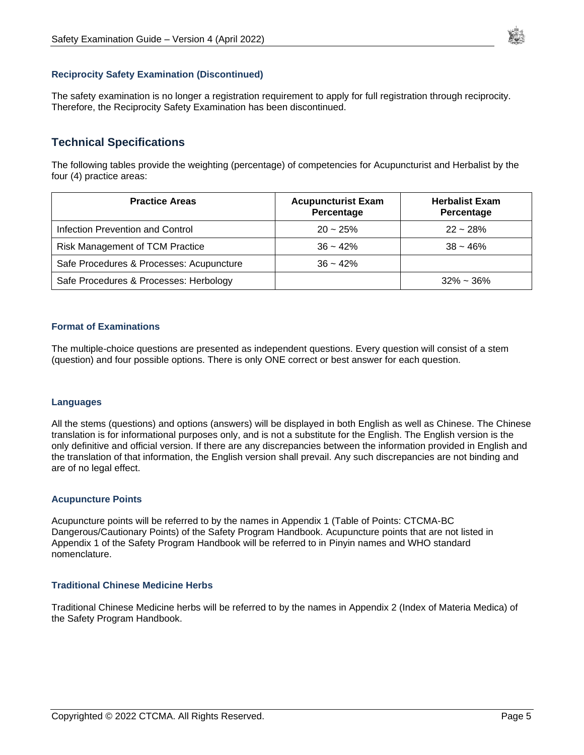

#### <span id="page-4-0"></span>**Reciprocity Safety Examination (Discontinued)**

<span id="page-4-1"></span>The safety examination is no longer a registration requirement to apply for full registration through reciprocity. Therefore, the Reciprocity Safety Examination has been discontinued.

## **Technical Specifications**

The following tables provide the weighting (percentage) of competencies for Acupuncturist and Herbalist by the four (4) practice areas:

| <b>Practice Areas</b>                    | <b>Acupuncturist Exam</b><br>Percentage | <b>Herbalist Exam</b><br>Percentage |
|------------------------------------------|-----------------------------------------|-------------------------------------|
| Infection Prevention and Control         | $20 - 25%$                              | $22 - 28%$                          |
| <b>Risk Management of TCM Practice</b>   | $36 - 42%$                              | $38 - 46%$                          |
| Safe Procedures & Processes: Acupuncture | $36 - 42%$                              |                                     |
| Safe Procedures & Processes: Herbology   |                                         | $32\% \sim 36\%$                    |

#### <span id="page-4-2"></span>**Format of Examinations**

The multiple-choice questions are presented as independent questions. Every question will consist of a stem (question) and four possible options. There is only ONE correct or best answer for each question.

#### <span id="page-4-3"></span>**Languages**

All the stems (questions) and options (answers) will be displayed in both English as well as Chinese. The Chinese translation is for informational purposes only, and is not a substitute for the English. The English version is the only definitive and official version. If there are any discrepancies between the information provided in English and the translation of that information, the English version shall prevail. Any such discrepancies are not binding and are of no legal effect.

#### <span id="page-4-4"></span>**Acupuncture Points**

Acupuncture points will be referred to by the names in Appendix 1 (Table of Points: CTCMA-BC Dangerous/Cautionary Points) of the Safety Program Handbook. Acupuncture points that are not listed in Appendix 1 of the Safety Program Handbook will be referred to in Pinyin names and WHO standard nomenclature.

#### <span id="page-4-5"></span>**Traditional Chinese Medicine Herbs**

Traditional Chinese Medicine herbs will be referred to by the names in Appendix 2 (Index of Materia Medica) of the Safety Program Handbook.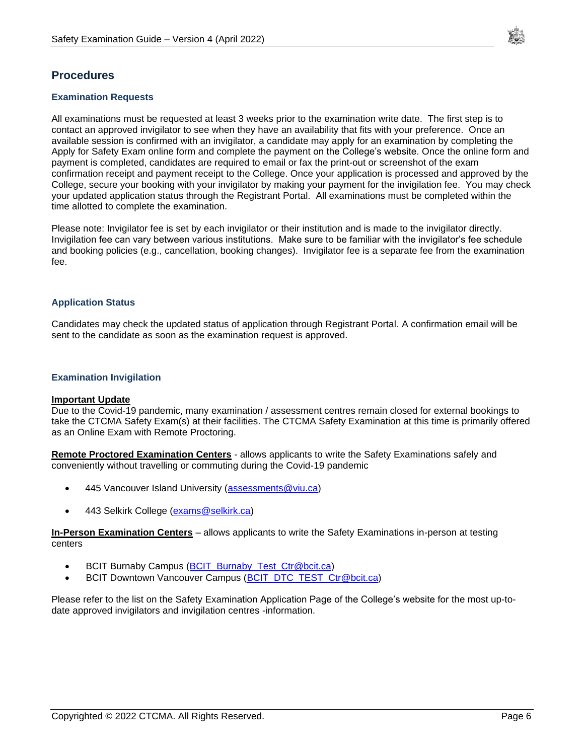

## <span id="page-5-0"></span>**Procedures**

#### <span id="page-5-1"></span>**Examination Requests**

All examinations must be requested at least 3 weeks prior to the examination write date. The first step is to contact an approved invigilator to see when they have an availability that fits with your preference. Once an available session is confirmed with an invigilator, a candidate may apply for an examination by completing the Apply for Safety Exam online form and complete the payment on the College's website. Once the online form and payment is completed, candidates are required to email or fax the print-out or screenshot of the exam confirmation receipt and payment receipt to the College. Once your application is processed and approved by the College, secure your booking with your invigilator by making your payment for the invigilation fee. You may check your updated application status through the Registrant Portal. All examinations must be completed within the time allotted to complete the examination.

Please note: Invigilator fee is set by each invigilator or their institution and is made to the invigilator directly. Invigilation fee can vary between various institutions. Make sure to be familiar with the invigilator's fee schedule and booking policies (e.g., cancellation, booking changes). Invigilator fee is a separate fee from the examination fee.

#### <span id="page-5-2"></span>**Application Status**

Candidates may check the updated status of application through Registrant Portal. A confirmation email will be sent to the candidate as soon as the examination request is approved.

#### <span id="page-5-3"></span>**Examination Invigilation**

#### **Important Update**

Due to the Covid-19 pandemic, many examination / assessment centres remain closed for external bookings to take the CTCMA Safety Exam(s) at their facilities. The CTCMA Safety Examination at this time is primarily offered as an Online Exam with Remote Proctoring.

**Remote Proctored Examination Centers** - allows applicants to write the Safety Examinations safely and conveniently without travelling or commuting during the Covid-19 pandemic

- 445 Vancouver Island University [\(assessments@viu.ca\)](mailto:assessments@viu.ca)
- 443 Selkirk College [\(exams@selkirk.ca\)](mailto:exams@selkirk.ca)

**In-Person Examination Centers** – allows applicants to write the Safety Examinations in-person at testing centers

- BCIT Burnaby Campus [\(BCIT\\_Burnaby\\_Test\\_Ctr@bcit.ca\)](mailto:BCIT_Burnaby_Test_Ctr@bcit.ca)
- BCIT Downtown Vancouver Campus [\(BCIT\\_DTC\\_TEST\\_Ctr@bcit.ca\)](mailto:BCIT_DTC_TEST_Ctr@bcit.ca)

Please refer to the list on the Safety Examination Application Page of the College's website for the most up-todate approved invigilators and invigilation centres -information.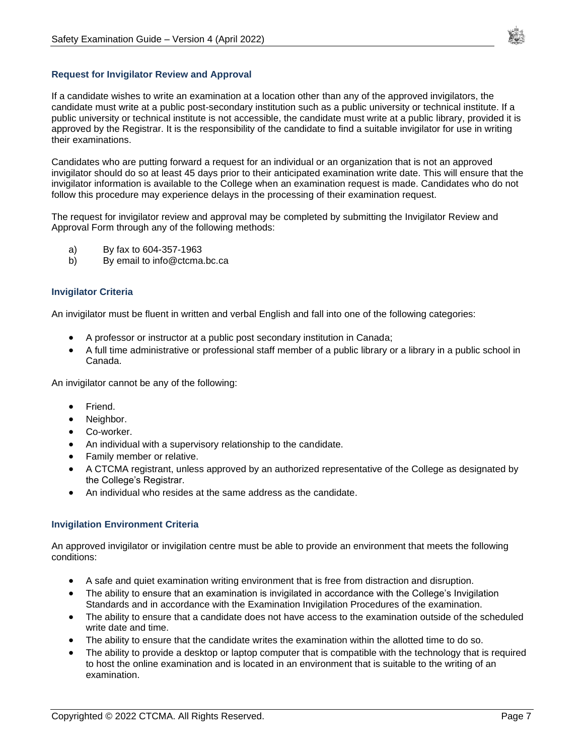

#### <span id="page-6-0"></span>**Request for Invigilator Review and Approval**

If a candidate wishes to write an examination at a location other than any of the approved invigilators, the candidate must write at a public post-secondary institution such as a public university or technical institute. If a public university or technical institute is not accessible, the candidate must write at a public library, provided it is approved by the Registrar. It is the responsibility of the candidate to find a suitable invigilator for use in writing their examinations.

Candidates who are putting forward a request for an individual or an organization that is not an approved invigilator should do so at least 45 days prior to their anticipated examination write date. This will ensure that the invigilator information is available to the College when an examination request is made. Candidates who do not follow this procedure may experience delays in the processing of their examination request.

The request for invigilator review and approval may be completed by submitting the Invigilator Review and Approval Form through any of the following methods:

- a) By fax to 604-357-1963
- b) By email to info@ctcma.bc.ca

#### <span id="page-6-1"></span>**Invigilator Criteria**

An invigilator must be fluent in written and verbal English and fall into one of the following categories:

- A professor or instructor at a public post secondary institution in Canada;
- A full time administrative or professional staff member of a public library or a library in a public school in Canada.

An invigilator cannot be any of the following:

- Friend.
- Neighbor.
- Co-worker.
- An individual with a supervisory relationship to the candidate.
- Family member or relative.
- A CTCMA registrant, unless approved by an authorized representative of the College as designated by the College's Registrar.
- An individual who resides at the same address as the candidate.

#### <span id="page-6-2"></span>**Invigilation Environment Criteria**

An approved invigilator or invigilation centre must be able to provide an environment that meets the following conditions:

- A safe and quiet examination writing environment that is free from distraction and disruption.
- The ability to ensure that an examination is invigilated in accordance with the College's Invigilation Standards and in accordance with the Examination Invigilation Procedures of the examination.
- The ability to ensure that a candidate does not have access to the examination outside of the scheduled write date and time.
- The ability to ensure that the candidate writes the examination within the allotted time to do so.
- The ability to provide a desktop or laptop computer that is compatible with the technology that is required to host the online examination and is located in an environment that is suitable to the writing of an examination.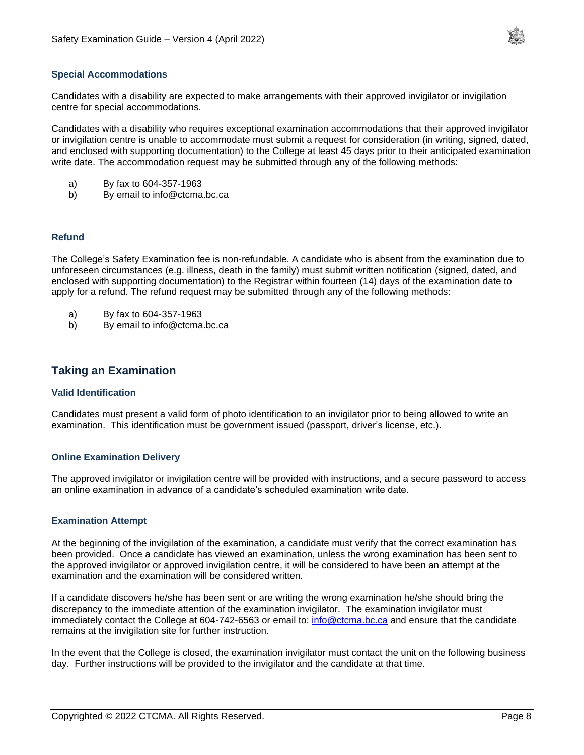

#### <span id="page-7-0"></span>**Special Accommodations**

Candidates with a disability are expected to make arrangements with their approved invigilator or invigilation centre for special accommodations.

Candidates with a disability who requires exceptional examination accommodations that their approved invigilator or invigilation centre is unable to accommodate must submit a request for consideration (in writing, signed, dated, and enclosed with supporting documentation) to the College at least 45 days prior to their anticipated examination write date. The accommodation request may be submitted through any of the following methods:

- a) By fax to 604-357-1963
- b) By email to info@ctcma.bc.ca

#### <span id="page-7-1"></span>**Refund**

The College's Safety Examination fee is non-refundable. A candidate who is absent from the examination due to unforeseen circumstances (e.g. illness, death in the family) must submit written notification (signed, dated, and enclosed with supporting documentation) to the Registrar within fourteen (14) days of the examination date to apply for a refund. The refund request may be submitted through any of the following methods:

- a) By fax to 604-357-1963
- b) By email to info@ctcma.bc.ca

## <span id="page-7-2"></span>**Taking an Examination**

#### <span id="page-7-3"></span>**Valid Identification**

Candidates must present a valid form of photo identification to an invigilator prior to being allowed to write an examination. This identification must be government issued (passport, driver's license, etc.).

#### <span id="page-7-4"></span>**Online Examination Delivery**

The approved invigilator or invigilation centre will be provided with instructions, and a secure password to access an online examination in advance of a candidate's scheduled examination write date.

#### <span id="page-7-5"></span>**Examination Attempt**

At the beginning of the invigilation of the examination, a candidate must verify that the correct examination has been provided. Once a candidate has viewed an examination, unless the wrong examination has been sent to the approved invigilator or approved invigilation centre, it will be considered to have been an attempt at the examination and the examination will be considered written.

If a candidate discovers he/she has been sent or are writing the wrong examination he/she should bring the discrepancy to the immediate attention of the examination invigilator. The examination invigilator must immediately contact the College at 604-742-6563 or email to: [info@ctcma.bc.ca](mailto:info@ctcma.bc.ca) and ensure that the candidate remains at the invigilation site for further instruction.

In the event that the College is closed, the examination invigilator must contact the unit on the following business day. Further instructions will be provided to the invigilator and the candidate at that time.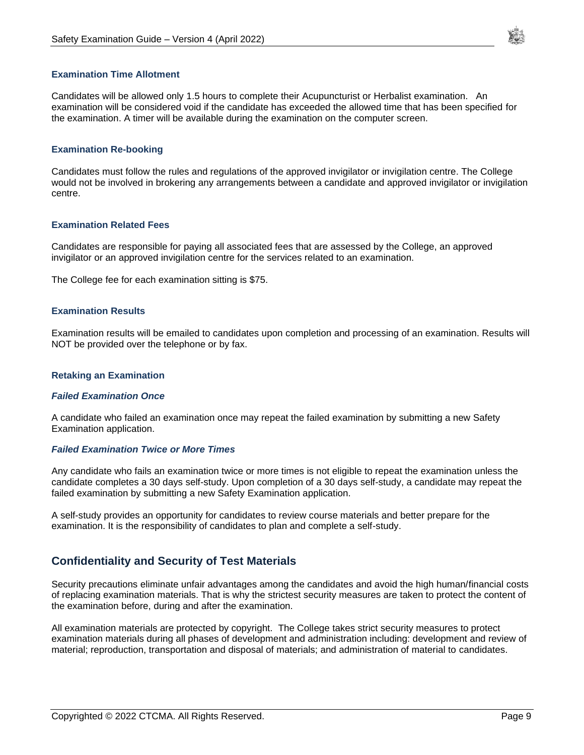

#### <span id="page-8-0"></span>**Examination Time Allotment**

Candidates will be allowed only 1.5 hours to complete their Acupuncturist or Herbalist examination. An examination will be considered void if the candidate has exceeded the allowed time that has been specified for the examination. A timer will be available during the examination on the computer screen.

#### <span id="page-8-1"></span>**Examination Re-booking**

Candidates must follow the rules and regulations of the approved invigilator or invigilation centre. The College would not be involved in brokering any arrangements between a candidate and approved invigilator or invigilation centre.

#### <span id="page-8-2"></span>**Examination Related Fees**

Candidates are responsible for paying all associated fees that are assessed by the College, an approved invigilator or an approved invigilation centre for the services related to an examination.

The College fee for each examination sitting is \$75.

#### <span id="page-8-3"></span>**Examination Results**

Examination results will be emailed to candidates upon completion and processing of an examination. Results will NOT be provided over the telephone or by fax.

#### <span id="page-8-4"></span>**Retaking an Examination**

#### *Failed Examination Once*

A candidate who failed an examination once may repeat the failed examination by submitting a new Safety Examination application.

#### *Failed Examination Twice or More Times*

Any candidate who fails an examination twice or more times is not eligible to repeat the examination unless the candidate completes a 30 days self-study. Upon completion of a 30 days self-study, a candidate may repeat the failed examination by submitting a new Safety Examination application.

<span id="page-8-5"></span>A self-study provides an opportunity for candidates to review course materials and better prepare for the examination. It is the responsibility of candidates to plan and complete a self-study.

## **Confidentiality and Security of Test Materials**

Security precautions eliminate unfair advantages among the candidates and avoid the high human/financial costs of replacing examination materials. That is why the strictest security measures are taken to protect the content of the examination before, during and after the examination.

All examination materials are protected by copyright. The College takes strict security measures to protect examination materials during all phases of development and administration including: development and review of material; reproduction, transportation and disposal of materials; and administration of material to candidates.